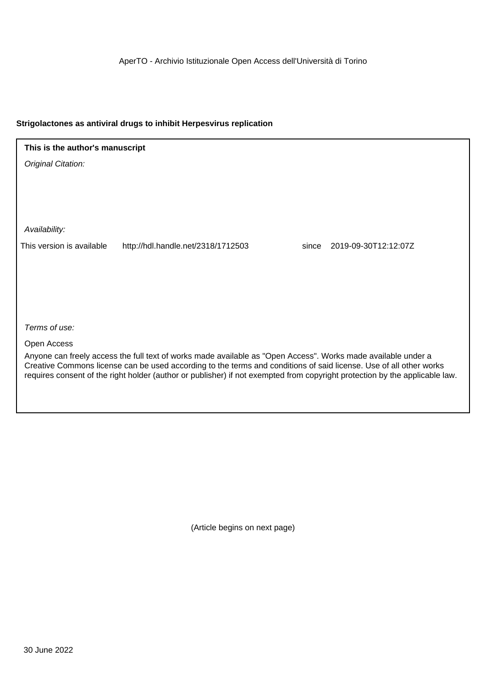AperTO - Archivio Istituzionale Open Access dell'Università di Torino

## **Strigolactones as antiviral drugs to inhibit Herpesvirus replication**

**This is the author's manuscript**

Original Citation:

Availability:

This version is available http://hdl.handle.net/2318/1712503 since 2019-09-30T12:12:07Z

Terms of use:

Open Access

Anyone can freely access the full text of works made available as "Open Access". Works made available under a Creative Commons license can be used according to the terms and conditions of said license. Use of all other works requires consent of the right holder (author or publisher) if not exempted from copyright protection by the applicable law.

(Article begins on next page)